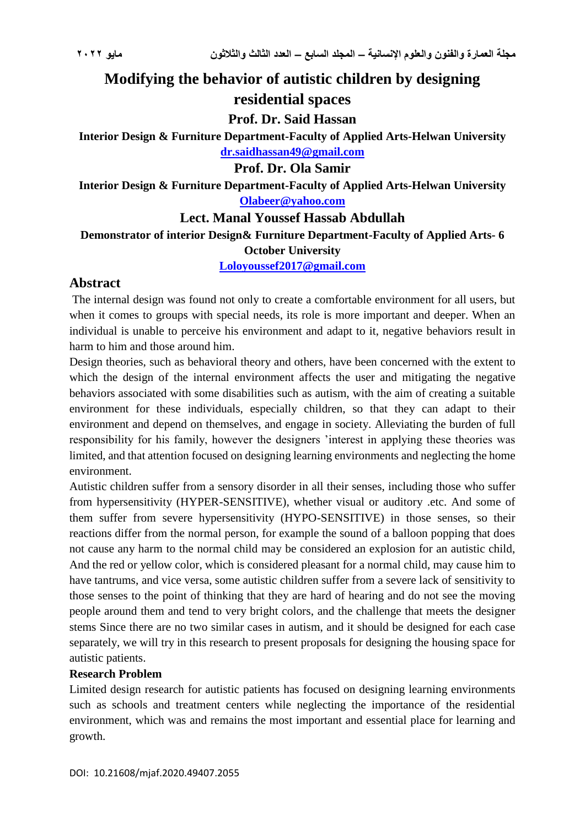# **Modifying the behavior of autistic children by designing residential spaces**

**Prof. Dr. Said Hassan**

**Interior Design & Furniture Department-Faculty of Applied Arts-Helwan University [dr.saidhassan49@gmail.com](mailto:dr.saidhassan49@gmail.com)**

## **Prof. Dr. Ola Samir**

**Interior Design & Furniture Department-Faculty of Applied Arts-Helwan University [Olabeer@yahoo.com](mailto:Olabeer@yahoo.com)**

# **Lect. Manal Youssef Hassab Abdullah**

**Demonstrator of interior Design& Furniture Department-Faculty of Applied Arts- 6 October University**

**[Loloyoussef2017@gmail.com](mailto:Loloyoussef2017@gmail.com)**

# **Abstract**

The internal design was found not only to create a comfortable environment for all users, but when it comes to groups with special needs, its role is more important and deeper. When an individual is unable to perceive his environment and adapt to it, negative behaviors result in harm to him and those around him.

Design theories, such as behavioral theory and others, have been concerned with the extent to which the design of the internal environment affects the user and mitigating the negative behaviors associated with some disabilities such as autism, with the aim of creating a suitable environment for these individuals, especially children, so that they can adapt to their environment and depend on themselves, and engage in society. Alleviating the burden of full responsibility for his family, however the designers 'interest in applying these theories was limited, and that attention focused on designing learning environments and neglecting the home environment.

Autistic children suffer from a sensory disorder in all their senses, including those who suffer from hypersensitivity (HYPER-SENSITIVE), whether visual or auditory .etc. And some of them suffer from severe hypersensitivity (HYPO-SENSITIVE) in those senses, so their reactions differ from the normal person, for example the sound of a balloon popping that does not cause any harm to the normal child may be considered an explosion for an autistic child, And the red or yellow color, which is considered pleasant for a normal child, may cause him to have tantrums, and vice versa, some autistic children suffer from a severe lack of sensitivity to those senses to the point of thinking that they are hard of hearing and do not see the moving people around them and tend to very bright colors, and the challenge that meets the designer stems Since there are no two similar cases in autism, and it should be designed for each case separately, we will try in this research to present proposals for designing the housing space for autistic patients.

#### **Research Problem**

Limited design research for autistic patients has focused on designing learning environments such as schools and treatment centers while neglecting the importance of the residential environment, which was and remains the most important and essential place for learning and growth.